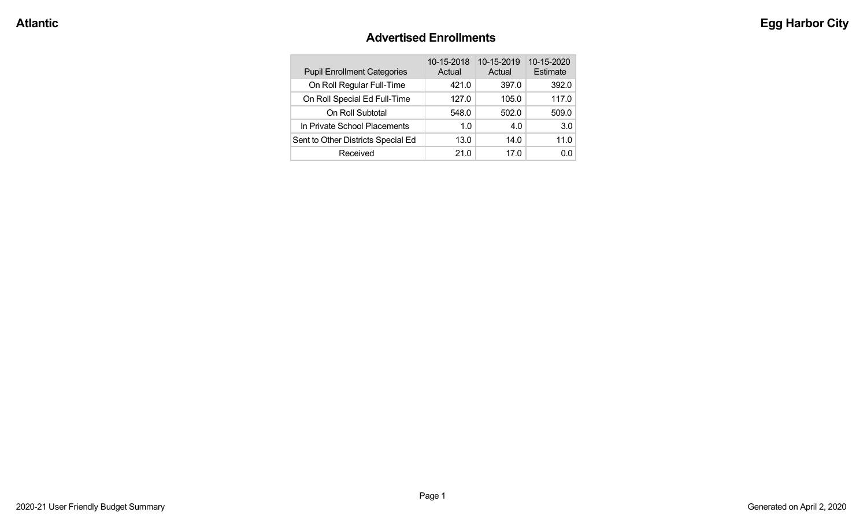#### **Advertised Enrollments**

| <b>Pupil Enrollment Categories</b> | 10-15-2018<br>Actual | 10-15-2019<br>Actual | 10-15-2020<br>Estimate |
|------------------------------------|----------------------|----------------------|------------------------|
| On Roll Regular Full-Time          | 421.0                | 397.0                | 392.0                  |
| On Roll Special Ed Full-Time       | 127.0                | 105.0                | 117.0                  |
| On Roll Subtotal                   | 548.0                | 502.0                | 509.0                  |
| In Private School Placements       | 1.0                  | 4.0                  | 3.0                    |
| Sent to Other Districts Special Ed | 13.0                 | 14.0                 | 11.0                   |
| Received                           | 21.0                 | 17.0                 | 0.0                    |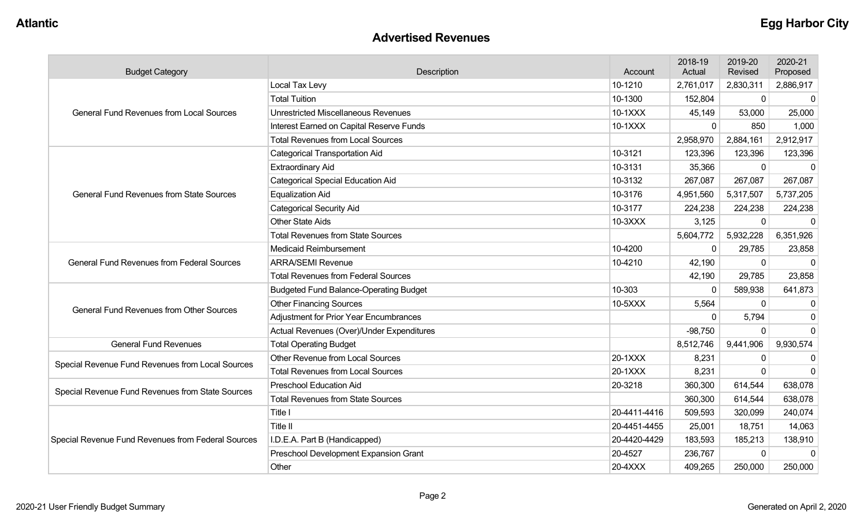#### **Advertised Revenues**

| <b>Budget Category</b>                             | Description                                   |              | 2018-19<br>Actual | 2019-20<br>Revised | 2020-21<br>Proposed |
|----------------------------------------------------|-----------------------------------------------|--------------|-------------------|--------------------|---------------------|
|                                                    | Local Tax Levy                                | 10-1210      | 2,761,017         | 2,830,311          | 2,886,917           |
|                                                    | <b>Total Tuition</b>                          | 10-1300      | 152,804           | $\mathbf 0$        | $\mathbf 0$         |
| <b>General Fund Revenues from Local Sources</b>    | <b>Unrestricted Miscellaneous Revenues</b>    | 10-1XXX      | 45,149            | 53,000             | 25,000              |
|                                                    | Interest Earned on Capital Reserve Funds      | 10-1XXX      | $\mathbf 0$       | 850                | 1,000               |
|                                                    | <b>Total Revenues from Local Sources</b>      |              | 2,958,970         | 2,884,161          | 2,912,917           |
|                                                    | <b>Categorical Transportation Aid</b>         | 10-3121      | 123,396           | 123,396            | 123,396             |
|                                                    | <b>Extraordinary Aid</b>                      | 10-3131      | 35,366            | $\mathbf 0$        | $\Omega$            |
|                                                    | <b>Categorical Special Education Aid</b>      | 10-3132      | 267,087           | 267,087            | 267,087             |
| <b>General Fund Revenues from State Sources</b>    | <b>Equalization Aid</b>                       | 10-3176      | 4,951,560         | 5,317,507          | 5,737,205           |
|                                                    | <b>Categorical Security Aid</b>               | 10-3177      | 224,238           | 224,238            | 224,238             |
|                                                    | <b>Other State Aids</b>                       | 10-3XXX      | 3,125             | $\mathbf{0}$       | $\mathbf 0$         |
|                                                    | <b>Total Revenues from State Sources</b>      |              | 5,604,772         | 5,932,228          | 6,351,926           |
|                                                    | <b>Medicaid Reimbursement</b>                 | 10-4200      | $\mathbf 0$       | 29,785             | 23,858              |
| <b>General Fund Revenues from Federal Sources</b>  | <b>ARRA/SEMI Revenue</b>                      | 10-4210      | 42,190            | $\Omega$           | $\Omega$            |
|                                                    | <b>Total Revenues from Federal Sources</b>    |              | 42,190            | 29,785             | 23,858              |
|                                                    | <b>Budgeted Fund Balance-Operating Budget</b> | 10-303       | $\mathbf{0}$      | 589,938            | 641,873             |
| <b>General Fund Revenues from Other Sources</b>    | <b>Other Financing Sources</b>                | 10-5XXX      | 5,564             | 0                  | 0                   |
|                                                    | <b>Adjustment for Prior Year Encumbrances</b> |              | $\Omega$          | 5,794              | $\mathbf 0$         |
|                                                    | Actual Revenues (Over)/Under Expenditures     |              | $-98,750$         | 0                  | $\Omega$            |
| <b>General Fund Revenues</b>                       | <b>Total Operating Budget</b>                 |              | 8,512,746         | 9,441,906          | 9,930,574           |
|                                                    | Other Revenue from Local Sources              | 20-1XXX      | 8,231             | $\mathbf 0$        | $\Omega$            |
| Special Revenue Fund Revenues from Local Sources   | <b>Total Revenues from Local Sources</b>      | 20-1XXX      | 8,231             | $\Omega$           | $\Omega$            |
|                                                    | <b>Preschool Education Aid</b>                | 20-3218      | 360,300           | 614,544            | 638,078             |
| Special Revenue Fund Revenues from State Sources   | <b>Total Revenues from State Sources</b>      |              | 360,300           | 614,544            | 638,078             |
|                                                    | Title I                                       | 20-4411-4416 | 509,593           | 320,099            | 240,074             |
|                                                    | Title II                                      | 20-4451-4455 | 25,001            | 18,751             | 14,063              |
| Special Revenue Fund Revenues from Federal Sources | I.D.E.A. Part B (Handicapped)                 | 20-4420-4429 | 183,593           | 185,213            | 138,910             |
|                                                    | Preschool Development Expansion Grant         | 20-4527      | 236,767           | $\mathbf 0$        | $\Omega$            |
|                                                    | Other                                         | 20-4XXX      | 409,265           | 250,000            | 250,000             |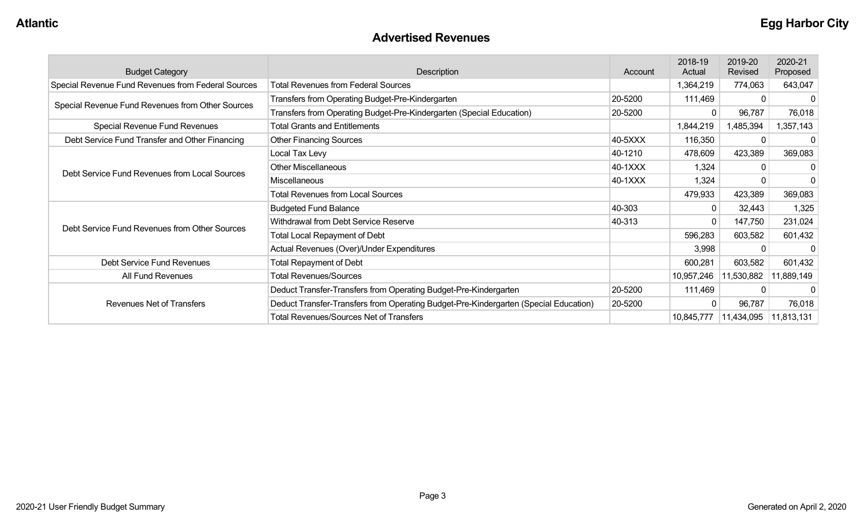#### **Advertised Revenues**

| <b>Budget Category</b>                             | Description                                                                          | Account | 2018-19<br>Actual | 2019-20<br>Revised      | 2020-21<br>Proposed |
|----------------------------------------------------|--------------------------------------------------------------------------------------|---------|-------------------|-------------------------|---------------------|
| Special Revenue Fund Revenues from Federal Sources | <b>Total Revenues from Federal Sources</b>                                           |         | 1,364,219         | 774,063                 | 643,047             |
|                                                    | Transfers from Operating Budget-Pre-Kindergarten                                     | 20-5200 | 111,469           |                         |                     |
| Special Revenue Fund Revenues from Other Sources   | Transfers from Operating Budget-Pre-Kindergarten (Special Education)                 | 20-5200 | $\Omega$          | 96,787                  | 76,018              |
| Special Revenue Fund Revenues                      | <b>Total Grants and Entitlements</b>                                                 |         | 1,844,219         | 1,485,394               | 1,357,143           |
| Debt Service Fund Transfer and Other Financing     | <b>Other Financing Sources</b>                                                       | 40-5XXX | 116,350           |                         | 0                   |
|                                                    | Local Tax Levy                                                                       | 40-1210 | 478,609           | 423,389                 | 369,083             |
| Debt Service Fund Revenues from Local Sources      | <b>Other Miscellaneous</b>                                                           | 40-1XXX | 1,324             |                         |                     |
|                                                    | Miscellaneous                                                                        | 40-1XXX | 1,324             |                         |                     |
|                                                    | Total Revenues from Local Sources                                                    |         | 479,933           | 423,389                 | 369,083             |
|                                                    | <b>Budgeted Fund Balance</b>                                                         | 40-303  | $\mathbf 0$       | 32,443                  | 1,325               |
| Debt Service Fund Revenues from Other Sources      | Withdrawal from Debt Service Reserve                                                 | 40-313  | $\mathbf{0}$      | 147,750                 | 231,024             |
|                                                    | <b>Total Local Repayment of Debt</b>                                                 |         | 596,283           | 603,582                 | 601,432             |
|                                                    | Actual Revenues (Over)/Under Expenditures                                            |         | 3,998             |                         |                     |
| Debt Service Fund Revenues                         | <b>Total Repayment of Debt</b>                                                       |         | 600,281           | 603,582                 | 601,432             |
| All Fund Revenues                                  | <b>Total Revenues/Sources</b>                                                        |         | 10,957,246        | 11,530,882              | 11,889,149          |
|                                                    | Deduct Transfer-Transfers from Operating Budget-Pre-Kindergarten                     | 20-5200 | 111,469           |                         | $\Omega$            |
| <b>Revenues Net of Transfers</b>                   | Deduct Transfer-Transfers from Operating Budget-Pre-Kindergarten (Special Education) | 20-5200 | $\mathbf{0}$      | 96,787                  | 76,018              |
|                                                    | <b>Total Revenues/Sources Net of Transfers</b>                                       |         | 10,845,777        | 11,434,095   11,813,131 |                     |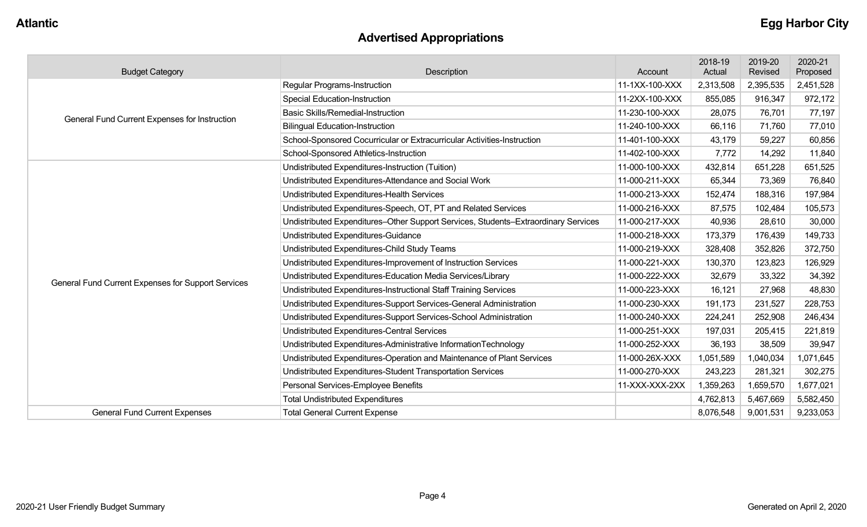# **Advertised Appropriations**

| <b>Budget Category</b>                             | Description                                                                        | Account        | 2018-19<br>Actual | 2019-20<br>Revised | 2020-21<br>Proposed |
|----------------------------------------------------|------------------------------------------------------------------------------------|----------------|-------------------|--------------------|---------------------|
|                                                    | <b>Regular Programs-Instruction</b>                                                | 11-1XX-100-XXX | 2,313,508         | 2,395,535          | 2,451,528           |
|                                                    | <b>Special Education-Instruction</b>                                               | 11-2XX-100-XXX | 855,085           | 916,347            | 972,172             |
| General Fund Current Expenses for Instruction      | <b>Basic Skills/Remedial-Instruction</b>                                           | 11-230-100-XXX | 28,075            | 76,701             | 77,197              |
|                                                    | <b>Bilingual Education-Instruction</b>                                             | 11-240-100-XXX | 66,116            | 71,760             | 77,010              |
|                                                    | School-Sponsored Cocurricular or Extracurricular Activities-Instruction            | 11-401-100-XXX | 43,179            | 59,227             | 60,856              |
|                                                    | School-Sponsored Athletics-Instruction                                             | 11-402-100-XXX | 7,772             | 14,292             | 11,840              |
|                                                    | Undistributed Expenditures-Instruction (Tuition)                                   | 11-000-100-XXX | 432,814           | 651,228            | 651,525             |
|                                                    | Undistributed Expenditures-Attendance and Social Work                              | 11-000-211-XXX | 65,344            | 73,369             | 76,840              |
|                                                    | Undistributed Expenditures-Health Services                                         | 11-000-213-XXX | 152,474           | 188,316            | 197,984             |
|                                                    | Undistributed Expenditures-Speech, OT, PT and Related Services                     | 11-000-216-XXX | 87,575            | 102,484            | 105,573             |
|                                                    | Undistributed Expenditures-Other Support Services, Students-Extraordinary Services | 11-000-217-XXX | 40,936            | 28,610             | 30,000              |
|                                                    | Undistributed Expenditures-Guidance                                                | 11-000-218-XXX | 173,379           | 176,439            | 149,733             |
|                                                    | Undistributed Expenditures-Child Study Teams                                       | 11-000-219-XXX | 328,408           | 352,826            | 372,750             |
|                                                    | Undistributed Expenditures-Improvement of Instruction Services                     | 11-000-221-XXX | 130,370           | 123,823            | 126,929             |
| General Fund Current Expenses for Support Services | Undistributed Expenditures-Education Media Services/Library                        | 11-000-222-XXX | 32,679            | 33,322             | 34,392              |
|                                                    | Undistributed Expenditures-Instructional Staff Training Services                   | 11-000-223-XXX | 16,121            | 27,968             | 48,830              |
|                                                    | Undistributed Expenditures-Support Services-General Administration                 | 11-000-230-XXX | 191,173           | 231,527            | 228,753             |
|                                                    | Undistributed Expenditures-Support Services-School Administration                  | 11-000-240-XXX | 224,241           | 252,908            | 246,434             |
|                                                    | Undistributed Expenditures-Central Services                                        | 11-000-251-XXX | 197,031           | 205,415            | 221,819             |
|                                                    | Undistributed Expenditures-Administrative InformationTechnology                    | 11-000-252-XXX | 36,193            | 38,509             | 39,947              |
|                                                    | Undistributed Expenditures-Operation and Maintenance of Plant Services             | 11-000-26X-XXX | 1,051,589         | 1,040,034          | 1,071,645           |
|                                                    | Undistributed Expenditures-Student Transportation Services                         | 11-000-270-XXX | 243,223           | 281,321            | 302,275             |
|                                                    | Personal Services-Employee Benefits                                                | 11-XXX-XXX-2XX | 1,359,263         | 1,659,570          | 1,677,021           |
|                                                    | <b>Total Undistributed Expenditures</b>                                            |                | 4,762,813         | 5,467,669          | 5,582,450           |
| <b>General Fund Current Expenses</b>               | <b>Total General Current Expense</b>                                               |                | 8,076,548         | 9,001,531          | 9,233,053           |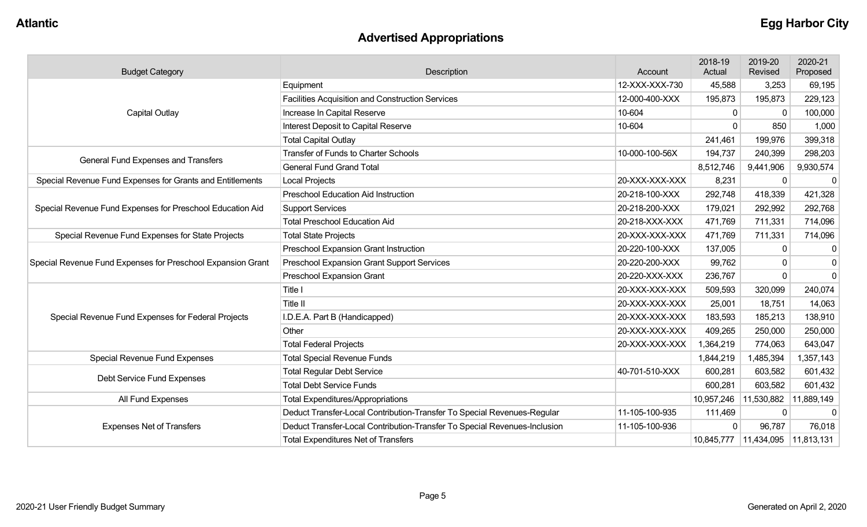# **Advertised Appropriations**

| <b>Budget Category</b>                                      | Description                                                               |                | 2018-19<br>Actual | 2019-20<br>Revised               | 2020-21<br>Proposed |
|-------------------------------------------------------------|---------------------------------------------------------------------------|----------------|-------------------|----------------------------------|---------------------|
|                                                             | Equipment                                                                 | 12-XXX-XXX-730 | 45,588            | 3,253                            | 69,195              |
|                                                             | <b>Facilities Acquisition and Construction Services</b>                   | 12-000-400-XXX | 195,873           | 195,873                          | 229,123             |
| <b>Capital Outlay</b>                                       | Increase In Capital Reserve                                               | 10-604         | $\mathbf{0}$      | $\Omega$                         | 100,000             |
|                                                             | Interest Deposit to Capital Reserve                                       | 10-604         | $\Omega$          | 850                              | 1,000               |
|                                                             | <b>Total Capital Outlay</b>                                               |                | 241,461           | 199,976                          | 399,318             |
| General Fund Expenses and Transfers                         | <b>Transfer of Funds to Charter Schools</b>                               | 10-000-100-56X | 194,737           | 240,399                          | 298,203             |
|                                                             | <b>General Fund Grand Total</b>                                           |                | 8,512,746         | 9,441,906                        | 9,930,574           |
| Special Revenue Fund Expenses for Grants and Entitlements   | <b>Local Projects</b>                                                     | 20-XXX-XXX-XXX | 8,231             | $\mathbf 0$                      | 0                   |
|                                                             | <b>Preschool Education Aid Instruction</b>                                | 20-218-100-XXX | 292,748           | 418,339                          | 421,328             |
| Special Revenue Fund Expenses for Preschool Education Aid   | <b>Support Services</b>                                                   | 20-218-200-XXX | 179,021           | 292,992                          | 292,768             |
|                                                             | <b>Total Preschool Education Aid</b>                                      | 20-218-XXX-XXX | 471,769           | 711,331                          | 714,096             |
| Special Revenue Fund Expenses for State Projects            | <b>Total State Projects</b><br>20-XXX-XXX-XXX                             |                | 471,769           | 711,331                          | 714,096             |
|                                                             | <b>Preschool Expansion Grant Instruction</b>                              | 20-220-100-XXX | 137,005           | 0                                | 0                   |
| Special Revenue Fund Expenses for Preschool Expansion Grant | Preschool Expansion Grant Support Services                                | 20-220-200-XXX | 99,762            | $\Omega$                         | $\mathbf 0$         |
|                                                             | Preschool Expansion Grant                                                 | 20-220-XXX-XXX | 236,767           | $\Omega$                         | $\overline{0}$      |
|                                                             | Title I                                                                   | 20-XXX-XXX-XXX | 509,593           | 320,099                          | 240,074             |
|                                                             | Title II                                                                  | 20-XXX-XXX-XXX | 25,001            | 18,751                           | 14,063              |
| Special Revenue Fund Expenses for Federal Projects          | I.D.E.A. Part B (Handicapped)                                             | 20-XXX-XXX-XXX | 183,593           | 185,213                          | 138,910             |
|                                                             | Other                                                                     | 20-XXX-XXX-XXX | 409,265           | 250,000                          | 250,000             |
|                                                             | <b>Total Federal Projects</b>                                             | 20-XXX-XXX-XXX | 1,364,219         | 774,063                          | 643,047             |
| Special Revenue Fund Expenses                               | <b>Total Special Revenue Funds</b>                                        |                | 1,844,219         | 1,485,394                        | 1,357,143           |
| Debt Service Fund Expenses                                  | <b>Total Regular Debt Service</b>                                         | 40-701-510-XXX | 600,281           | 603,582                          | 601,432             |
|                                                             | <b>Total Debt Service Funds</b>                                           |                | 600,281           | 603,582                          | 601,432             |
| All Fund Expenses                                           | <b>Total Expenditures/Appropriations</b>                                  |                | 10,957,246        | 11,530,882                       | 11,889,149          |
|                                                             | Deduct Transfer-Local Contribution-Transfer To Special Revenues-Regular   | 11-105-100-935 | 111,469           | $\mathbf 0$                      | 0                   |
| <b>Expenses Net of Transfers</b>                            | Deduct Transfer-Local Contribution-Transfer To Special Revenues-Inclusion | 11-105-100-936 | $\Omega$          | 96,787                           | 76,018              |
|                                                             | <b>Total Expenditures Net of Transfers</b>                                |                |                   | 10,845,777 11,434,095 11,813,131 |                     |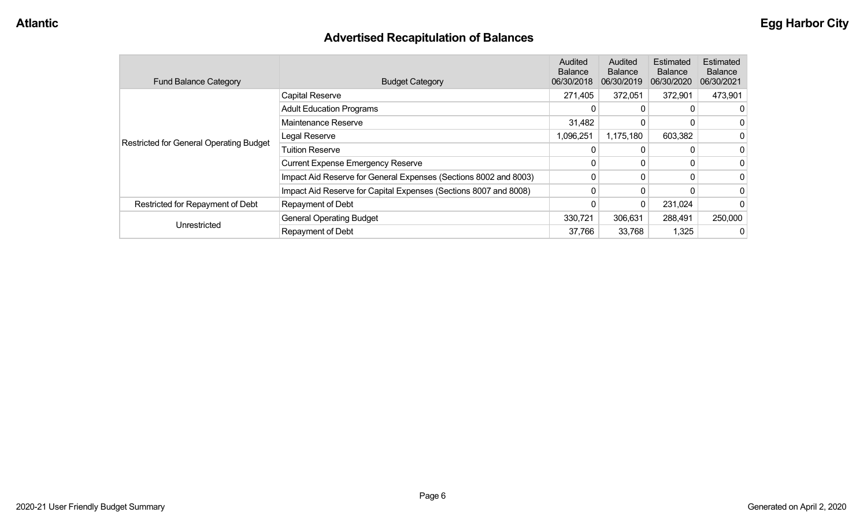# **Advertised Recapitulation of Balances**

| <b>Fund Balance Category</b>                   | <b>Budget Category</b>                                           | <b>Audited</b><br><b>Balance</b><br>06/30/2018 | Audited<br><b>Balance</b><br>06/30/2019 | Estimated<br><b>Balance</b><br>06/30/2020 | <b>Estimated</b><br><b>Balance</b><br>06/30/2021 |
|------------------------------------------------|------------------------------------------------------------------|------------------------------------------------|-----------------------------------------|-------------------------------------------|--------------------------------------------------|
|                                                | <b>Capital Reserve</b>                                           | 271,405                                        | 372,051                                 | 372,901                                   | 473,901                                          |
|                                                | <b>Adult Education Programs</b>                                  | 0                                              | 0                                       |                                           |                                                  |
|                                                | Maintenance Reserve                                              | 31,482                                         | 0                                       |                                           |                                                  |
| <b>Restricted for General Operating Budget</b> | Legal Reserve                                                    | 1,096,251                                      | 1,175,180                               | 603,382                                   |                                                  |
|                                                | <b>Tuition Reserve</b>                                           | 0                                              | 0                                       |                                           |                                                  |
|                                                | <b>Current Expense Emergency Reserve</b>                         | 0                                              | 0                                       |                                           |                                                  |
|                                                | Impact Aid Reserve for General Expenses (Sections 8002 and 8003) | 0                                              | 0                                       | 0                                         |                                                  |
|                                                | Impact Aid Reserve for Capital Expenses (Sections 8007 and 8008) | 0                                              | 0                                       |                                           |                                                  |
| Restricted for Repayment of Debt               | Repayment of Debt                                                |                                                | 0                                       | 231,024                                   |                                                  |
|                                                | <b>General Operating Budget</b>                                  | 330,721                                        | 306,631                                 | 288,491                                   | 250,000                                          |
| Unrestricted                                   | Repayment of Debt                                                | 37,766                                         | 33,768                                  | 1,325                                     |                                                  |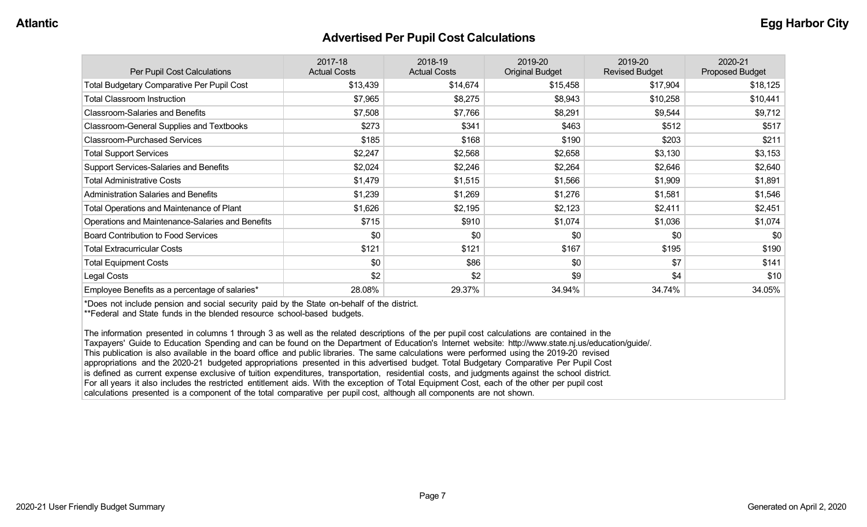#### **Advertised Per Pupil Cost Calculations**

| Per Pupil Cost Calculations                       | 2017-18<br><b>Actual Costs</b> | 2018-19<br><b>Actual Costs</b> | 2019-20<br><b>Original Budget</b> | 2019-20<br><b>Revised Budget</b> | 2020-21<br><b>Proposed Budget</b> |
|---------------------------------------------------|--------------------------------|--------------------------------|-----------------------------------|----------------------------------|-----------------------------------|
| <b>Total Budgetary Comparative Per Pupil Cost</b> | \$13,439                       | \$14,674                       | \$15,458                          | \$17,904                         | \$18,125                          |
| <b>Total Classroom Instruction</b>                | \$7,965                        | \$8,275                        | \$8,943                           | \$10,258                         | \$10,441                          |
| <b>Classroom-Salaries and Benefits</b>            | \$7,508                        | \$7,766                        | \$8,291                           | \$9,544                          | \$9,712                           |
| Classroom-General Supplies and Textbooks          | \$273                          | \$341                          | \$463                             | \$512                            | \$517                             |
| <b>Classroom-Purchased Services</b>               | \$185                          | \$168                          | \$190                             | \$203                            | \$211                             |
| <b>Total Support Services</b>                     | \$2,247                        | \$2,568                        | \$2,658                           | \$3,130                          | \$3,153                           |
| Support Services-Salaries and Benefits            | \$2,024                        | \$2,246                        | \$2,264                           | \$2,646                          | \$2,640                           |
| <b>Total Administrative Costs</b>                 | \$1,479                        | \$1,515                        | \$1,566                           | \$1,909                          | \$1,891                           |
| <b>Administration Salaries and Benefits</b>       | \$1,239                        | \$1,269                        | \$1,276                           | \$1,581                          | \$1,546                           |
| <b>Total Operations and Maintenance of Plant</b>  | \$1,626                        | \$2,195                        | \$2,123                           | \$2,411                          | \$2,451                           |
| Operations and Maintenance-Salaries and Benefits  | \$715                          | \$910                          | \$1,074                           | \$1,036                          | \$1,074                           |
| <b>Board Contribution to Food Services</b>        | \$0                            | \$0                            | \$0                               | \$0                              | \$0                               |
| <b>Total Extracurricular Costs</b>                | \$121                          | \$121                          | \$167                             | \$195                            | \$190                             |
| <b>Total Equipment Costs</b>                      | \$0                            | \$86                           | \$0                               | \$7                              | \$141                             |
| Legal Costs                                       | \$2                            | \$2                            | \$9                               | \$4                              | \$10                              |
| Employee Benefits as a percentage of salaries*    | 28.08%                         | 29.37%                         | 34.94%                            | 34.74%                           | 34.05%                            |

\*Does not include pension and social security paid by the State on-behalf of the district.

\*\*Federal and State funds in the blended resource school-based budgets.

The information presented in columns 1 through 3 as well as the related descriptions of the per pupil cost calculations are contained in the Taxpayers' Guide to Education Spending and can be found on the Department of Education's Internet website: http://www.state.nj.us/education/guide/. This publication is also available in the board office and public libraries. The same calculations were performed using the 2019-20 revised appropriations and the 2020-21 budgeted appropriations presented in this advertised budget. Total Budgetary Comparative Per Pupil Cost is defined as current expense exclusive of tuition expenditures, transportation, residential costs, and judgments against the school district. For all years it also includes the restricted entitlement aids. With the exception of Total Equipment Cost, each of the other per pupil cost calculations presented is a component of the total comparative per pupil cost, although all components are not shown.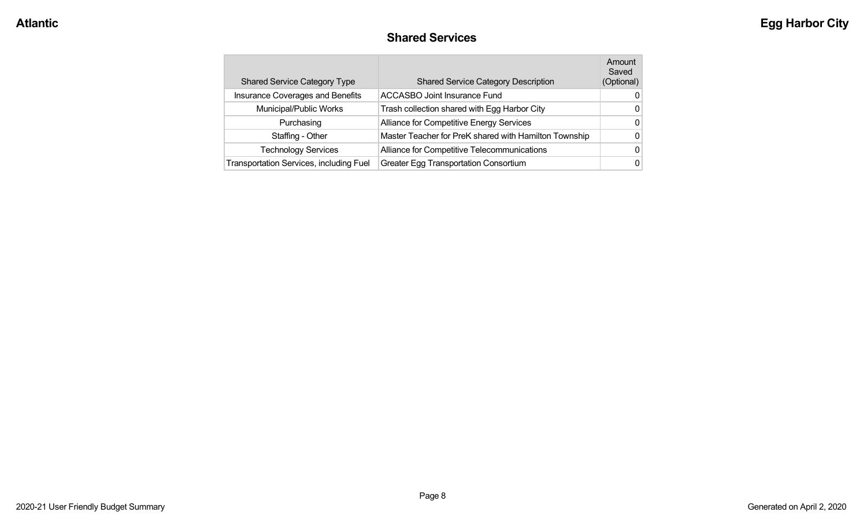#### **Shared Services**

| <b>Shared Service Category Type</b>     | <b>Shared Service Category Description</b>            | Amount<br>Saved<br>(Optional) |
|-----------------------------------------|-------------------------------------------------------|-------------------------------|
| Insurance Coverages and Benefits        | <b>ACCASBO Joint Insurance Fund</b>                   | 0                             |
| Municipal/Public Works                  | Trash collection shared with Egg Harbor City          | 0                             |
| Purchasing                              | Alliance for Competitive Energy Services              | 0                             |
| Staffing - Other                        | Master Teacher for PreK shared with Hamilton Township | 0                             |
| <b>Technology Services</b>              | Alliance for Competitive Telecommunications           | 0                             |
| Transportation Services, including Fuel | <b>Greater Egg Transportation Consortium</b>          | 0                             |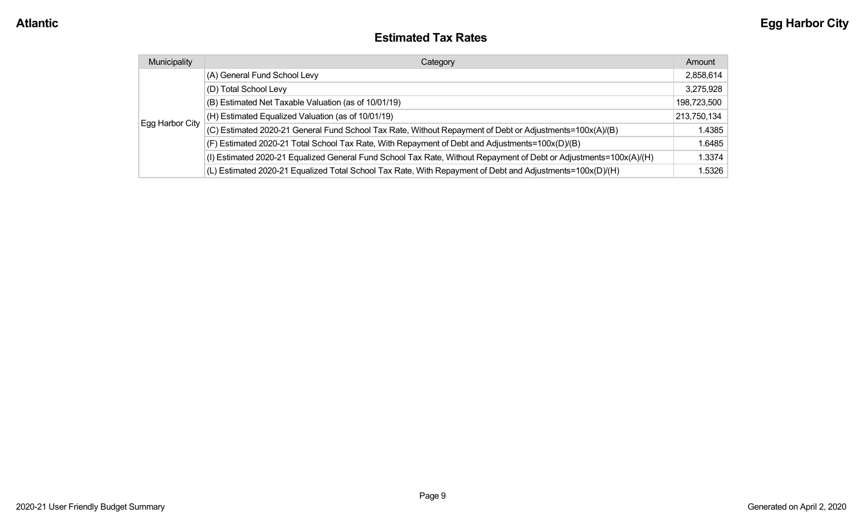#### **Estimated Tax Rates**

| Municipality    | Category                                                                                                           | Amount      |
|-----------------|--------------------------------------------------------------------------------------------------------------------|-------------|
|                 | (A) General Fund School Levy                                                                                       | 2,858,614   |
|                 | (D) Total School Levy                                                                                              | 3,275,928   |
|                 | (B) Estimated Net Taxable Valuation (as of 10/01/19)                                                               | 198,723,500 |
|                 | (H) Estimated Equalized Valuation (as of 10/01/19)                                                                 | 213,750,134 |
| Egg Harbor City | (C) Estimated 2020-21 General Fund School Tax Rate, Without Repayment of Debt or Adjustments=100x(A)/(B)           | 1.4385      |
|                 | (F) Estimated 2020-21 Total School Tax Rate, With Repayment of Debt and Adjustments=100x(D)/(B)                    | 1.6485      |
|                 | (I) Estimated 2020-21 Equalized General Fund School Tax Rate, Without Repayment of Debt or Adjustments=100x(A)/(H) | 1.3374      |
|                 | (L) Estimated 2020-21 Equalized Total School Tax Rate, With Repayment of Debt and Adjustments=100x(D)/(H)          | 1.5326      |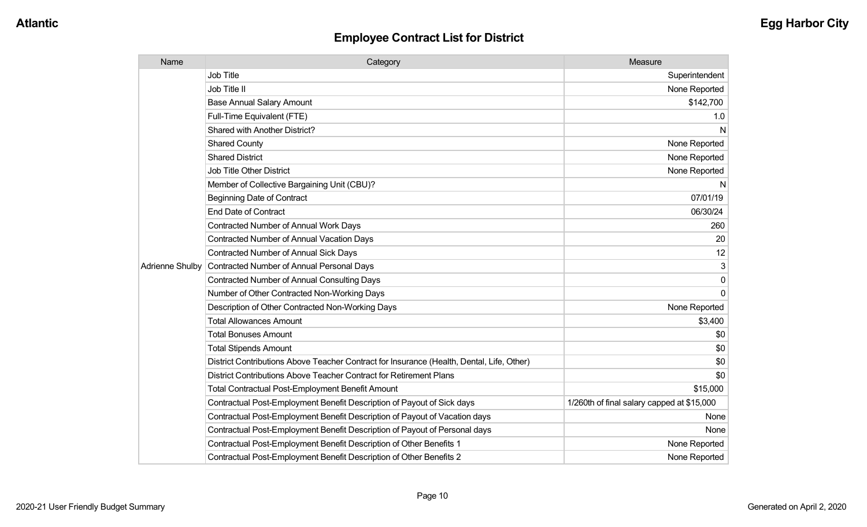| Name            | Category                                                                                  | Measure                                    |
|-----------------|-------------------------------------------------------------------------------------------|--------------------------------------------|
|                 | <b>Job Title</b>                                                                          | Superintendent                             |
|                 | Job Title II                                                                              | None Reported                              |
|                 | <b>Base Annual Salary Amount</b>                                                          | \$142,700                                  |
|                 | Full-Time Equivalent (FTE)                                                                | 1.0                                        |
|                 | Shared with Another District?                                                             | N                                          |
|                 | <b>Shared County</b>                                                                      | None Reported                              |
|                 | <b>Shared District</b>                                                                    | None Reported                              |
|                 | <b>Job Title Other District</b>                                                           | None Reported                              |
|                 | Member of Collective Bargaining Unit (CBU)?                                               | N                                          |
|                 | <b>Beginning Date of Contract</b>                                                         | 07/01/19                                   |
|                 | <b>End Date of Contract</b>                                                               | 06/30/24                                   |
|                 | <b>Contracted Number of Annual Work Days</b>                                              | 260                                        |
|                 | <b>Contracted Number of Annual Vacation Days</b>                                          | 20                                         |
|                 | Contracted Number of Annual Sick Days                                                     | 12                                         |
| Adrienne Shulby | Contracted Number of Annual Personal Days                                                 | 3                                          |
|                 | <b>Contracted Number of Annual Consulting Days</b>                                        | 0                                          |
|                 | Number of Other Contracted Non-Working Days                                               | $\Omega$                                   |
|                 | Description of Other Contracted Non-Working Days                                          | None Reported                              |
|                 | <b>Total Allowances Amount</b>                                                            | \$3,400                                    |
|                 | <b>Total Bonuses Amount</b>                                                               | \$0                                        |
|                 | <b>Total Stipends Amount</b>                                                              | \$0                                        |
|                 | District Contributions Above Teacher Contract for Insurance (Health, Dental, Life, Other) | \$0                                        |
|                 | District Contributions Above Teacher Contract for Retirement Plans                        | \$0                                        |
|                 | Total Contractual Post-Employment Benefit Amount                                          | \$15,000                                   |
|                 | Contractual Post-Employment Benefit Description of Payout of Sick days                    | 1/260th of final salary capped at \$15,000 |
|                 | Contractual Post-Employment Benefit Description of Payout of Vacation days                | None                                       |
|                 | Contractual Post-Employment Benefit Description of Payout of Personal days                | None                                       |
|                 | Contractual Post-Employment Benefit Description of Other Benefits 1                       | None Reported                              |
|                 | Contractual Post-Employment Benefit Description of Other Benefits 2                       | None Reported                              |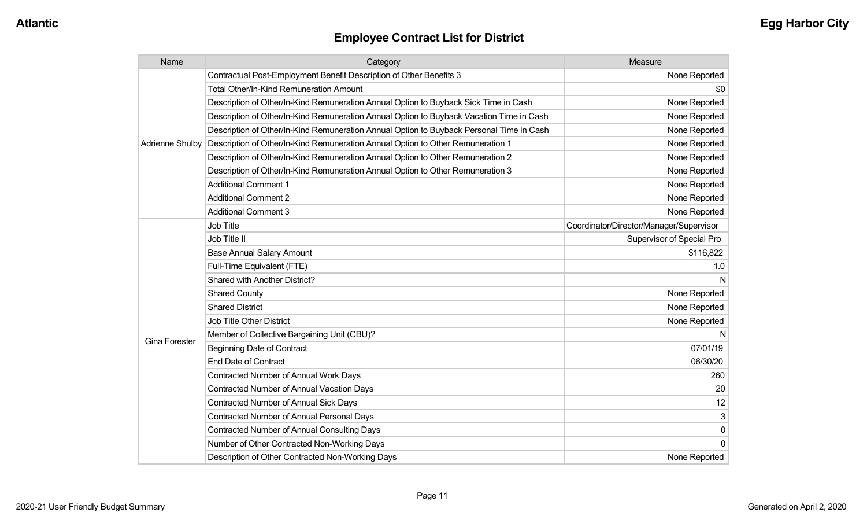| Name                   | Category                                                                                 | Measure                                 |
|------------------------|------------------------------------------------------------------------------------------|-----------------------------------------|
|                        | Contractual Post-Employment Benefit Description of Other Benefits 3                      | None Reported                           |
|                        | Total Other/In-Kind Remuneration Amount                                                  | \$0                                     |
|                        | Description of Other/In-Kind Remuneration Annual Option to Buyback Sick Time in Cash     | None Reported                           |
|                        | Description of Other/In-Kind Remuneration Annual Option to Buyback Vacation Time in Cash | None Reported                           |
|                        | Description of Other/In-Kind Remuneration Annual Option to Buyback Personal Time in Cash | None Reported                           |
| <b>Adrienne Shulby</b> | Description of Other/In-Kind Remuneration Annual Option to Other Remuneration 1          | None Reported                           |
|                        | Description of Other/In-Kind Remuneration Annual Option to Other Remuneration 2          | None Reported                           |
|                        | Description of Other/In-Kind Remuneration Annual Option to Other Remuneration 3          | None Reported                           |
|                        | <b>Additional Comment 1</b>                                                              | None Reported                           |
|                        | <b>Additional Comment 2</b>                                                              | None Reported                           |
|                        | <b>Additional Comment 3</b>                                                              | None Reported                           |
|                        | <b>Job Title</b>                                                                         | Coordinator/Director/Manager/Supervisor |
|                        | Job Title II                                                                             | Supervisor of Special Pro               |
|                        | <b>Base Annual Salary Amount</b>                                                         | \$116,822                               |
|                        | Full-Time Equivalent (FTE)                                                               | 1.0                                     |
|                        | Shared with Another District?                                                            |                                         |
|                        | <b>Shared County</b>                                                                     | None Reported                           |
|                        | <b>Shared District</b>                                                                   | None Reported                           |
|                        | Job Title Other District                                                                 | None Reported                           |
|                        | Member of Collective Bargaining Unit (CBU)?                                              |                                         |
| <b>Gina Forester</b>   | <b>Beginning Date of Contract</b>                                                        | 07/01/19                                |
|                        | <b>End Date of Contract</b>                                                              | 06/30/20                                |
|                        | <b>Contracted Number of Annual Work Days</b>                                             | 260                                     |
|                        | <b>Contracted Number of Annual Vacation Days</b>                                         | 20                                      |
|                        | Contracted Number of Annual Sick Days                                                    | 12                                      |
|                        | Contracted Number of Annual Personal Days                                                | 3                                       |
|                        | Contracted Number of Annual Consulting Days                                              | $\mathbf 0$                             |
|                        | Number of Other Contracted Non-Working Days                                              | $\mathbf{0}$                            |
|                        | Description of Other Contracted Non-Working Days                                         | None Reported                           |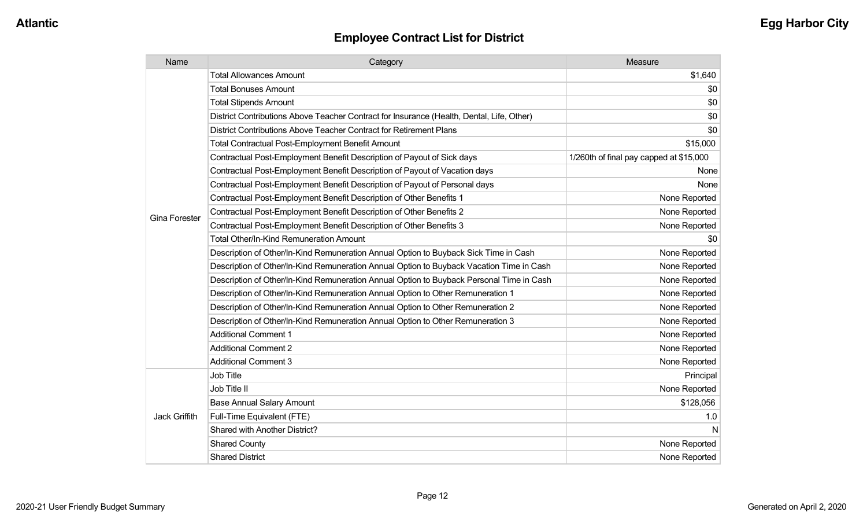| Name                 | Category                                                                                  | Measure                                 |
|----------------------|-------------------------------------------------------------------------------------------|-----------------------------------------|
|                      | <b>Total Allowances Amount</b>                                                            | \$1,640                                 |
|                      | <b>Total Bonuses Amount</b>                                                               | \$0                                     |
|                      | <b>Total Stipends Amount</b>                                                              | \$0                                     |
|                      | District Contributions Above Teacher Contract for Insurance (Health, Dental, Life, Other) | \$0                                     |
|                      | District Contributions Above Teacher Contract for Retirement Plans                        | \$0                                     |
|                      | <b>Total Contractual Post-Employment Benefit Amount</b>                                   | \$15,000                                |
|                      | Contractual Post-Employment Benefit Description of Payout of Sick days                    | 1/260th of final pay capped at \$15,000 |
|                      | Contractual Post-Employment Benefit Description of Payout of Vacation days                | None                                    |
|                      | Contractual Post-Employment Benefit Description of Payout of Personal days                | None                                    |
|                      | Contractual Post-Employment Benefit Description of Other Benefits 1                       | None Reported                           |
|                      | Contractual Post-Employment Benefit Description of Other Benefits 2                       | None Reported                           |
| <b>Gina Forester</b> | Contractual Post-Employment Benefit Description of Other Benefits 3                       | None Reported                           |
|                      | <b>Total Other/In-Kind Remuneration Amount</b>                                            | \$0                                     |
|                      | Description of Other/In-Kind Remuneration Annual Option to Buyback Sick Time in Cash      | None Reported                           |
|                      | Description of Other/In-Kind Remuneration Annual Option to Buyback Vacation Time in Cash  | None Reported                           |
|                      | Description of Other/In-Kind Remuneration Annual Option to Buyback Personal Time in Cash  | None Reported                           |
|                      | Description of Other/In-Kind Remuneration Annual Option to Other Remuneration 1           | None Reported                           |
|                      | Description of Other/In-Kind Remuneration Annual Option to Other Remuneration 2           | None Reported                           |
|                      | Description of Other/In-Kind Remuneration Annual Option to Other Remuneration 3           | None Reported                           |
|                      | <b>Additional Comment 1</b>                                                               | None Reported                           |
|                      | <b>Additional Comment 2</b>                                                               | None Reported                           |
|                      | <b>Additional Comment 3</b>                                                               | None Reported                           |
|                      | <b>Job Title</b>                                                                          | Principal                               |
|                      | Job Title II                                                                              | None Reported                           |
|                      | <b>Base Annual Salary Amount</b>                                                          | \$128,056                               |
| Jack Griffith        | Full-Time Equivalent (FTE)                                                                | 1.0                                     |
|                      | Shared with Another District?                                                             | N                                       |
|                      | <b>Shared County</b>                                                                      | None Reported                           |
|                      | <b>Shared District</b>                                                                    | None Reported                           |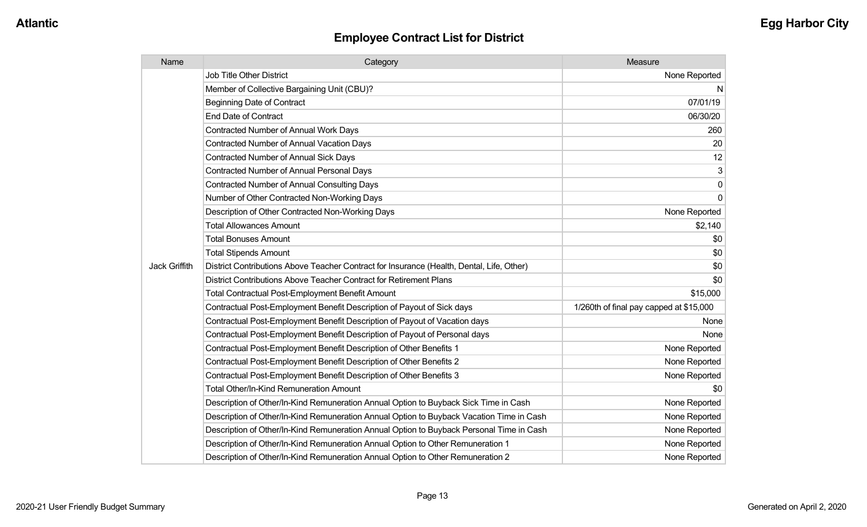| Name                 | Category                                                                                  | Measure                                 |
|----------------------|-------------------------------------------------------------------------------------------|-----------------------------------------|
|                      | <b>Job Title Other District</b>                                                           | None Reported                           |
|                      | Member of Collective Bargaining Unit (CBU)?                                               | N                                       |
|                      | <b>Beginning Date of Contract</b>                                                         | 07/01/19                                |
|                      | <b>End Date of Contract</b>                                                               | 06/30/20                                |
|                      | Contracted Number of Annual Work Days                                                     | 260                                     |
|                      | <b>Contracted Number of Annual Vacation Days</b>                                          | 20                                      |
|                      | <b>Contracted Number of Annual Sick Days</b>                                              | 12                                      |
|                      | <b>Contracted Number of Annual Personal Days</b>                                          | 3                                       |
|                      | <b>Contracted Number of Annual Consulting Days</b>                                        | 0                                       |
|                      | Number of Other Contracted Non-Working Days                                               | $\mathbf 0$                             |
|                      | Description of Other Contracted Non-Working Days                                          | None Reported                           |
|                      | <b>Total Allowances Amount</b>                                                            | \$2,140                                 |
|                      | <b>Total Bonuses Amount</b>                                                               | \$0                                     |
|                      | <b>Total Stipends Amount</b>                                                              | \$0                                     |
| <b>Jack Griffith</b> | District Contributions Above Teacher Contract for Insurance (Health, Dental, Life, Other) | \$0                                     |
|                      | District Contributions Above Teacher Contract for Retirement Plans                        | \$0                                     |
|                      | <b>Total Contractual Post-Employment Benefit Amount</b>                                   | \$15,000                                |
|                      | Contractual Post-Employment Benefit Description of Payout of Sick days                    | 1/260th of final pay capped at \$15,000 |
|                      | Contractual Post-Employment Benefit Description of Payout of Vacation days                | None                                    |
|                      | Contractual Post-Employment Benefit Description of Payout of Personal days                | None                                    |
|                      | Contractual Post-Employment Benefit Description of Other Benefits 1                       | None Reported                           |
|                      | Contractual Post-Employment Benefit Description of Other Benefits 2                       | None Reported                           |
|                      | Contractual Post-Employment Benefit Description of Other Benefits 3                       | None Reported                           |
|                      | <b>Total Other/In-Kind Remuneration Amount</b>                                            | \$0                                     |
|                      | Description of Other/In-Kind Remuneration Annual Option to Buyback Sick Time in Cash      | None Reported                           |
|                      | Description of Other/In-Kind Remuneration Annual Option to Buyback Vacation Time in Cash  | None Reported                           |
|                      | Description of Other/In-Kind Remuneration Annual Option to Buyback Personal Time in Cash  | None Reported                           |
|                      | Description of Other/In-Kind Remuneration Annual Option to Other Remuneration 1           | None Reported                           |
|                      | Description of Other/In-Kind Remuneration Annual Option to Other Remuneration 2           | None Reported                           |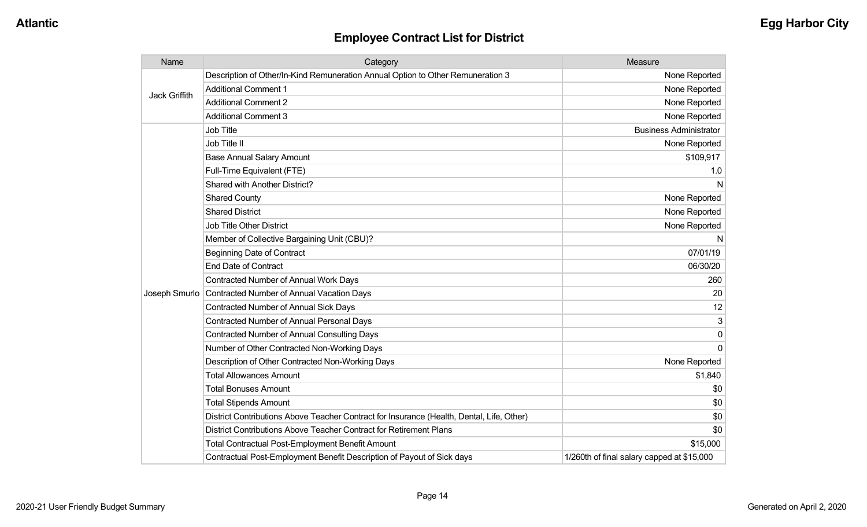| Name                 | Category                                                                                  | Measure                                    |
|----------------------|-------------------------------------------------------------------------------------------|--------------------------------------------|
| <b>Jack Griffith</b> | Description of Other/In-Kind Remuneration Annual Option to Other Remuneration 3           | None Reported                              |
|                      | <b>Additional Comment 1</b>                                                               | None Reported                              |
|                      | <b>Additional Comment 2</b>                                                               | None Reported                              |
|                      | <b>Additional Comment 3</b>                                                               | None Reported                              |
|                      | <b>Job Title</b>                                                                          | <b>Business Administrator</b>              |
|                      | Job Title II                                                                              | None Reported                              |
|                      | <b>Base Annual Salary Amount</b>                                                          | \$109,917                                  |
|                      | Full-Time Equivalent (FTE)                                                                | 1.0                                        |
|                      | Shared with Another District?                                                             | N                                          |
|                      | <b>Shared County</b>                                                                      | None Reported                              |
|                      | <b>Shared District</b>                                                                    | None Reported                              |
|                      | <b>Job Title Other District</b>                                                           | None Reported                              |
|                      | Member of Collective Bargaining Unit (CBU)?                                               | N                                          |
|                      | <b>Beginning Date of Contract</b>                                                         | 07/01/19                                   |
|                      | <b>End Date of Contract</b>                                                               | 06/30/20                                   |
|                      | <b>Contracted Number of Annual Work Days</b>                                              | 260                                        |
| Joseph Smurlo        | Contracted Number of Annual Vacation Days                                                 | 20                                         |
|                      | Contracted Number of Annual Sick Days                                                     | 12                                         |
|                      | Contracted Number of Annual Personal Days                                                 | 3                                          |
|                      | <b>Contracted Number of Annual Consulting Days</b>                                        | $\Omega$                                   |
|                      | Number of Other Contracted Non-Working Days                                               | $\Omega$                                   |
|                      | Description of Other Contracted Non-Working Days                                          | None Reported                              |
|                      | <b>Total Allowances Amount</b>                                                            | \$1,840                                    |
|                      | <b>Total Bonuses Amount</b>                                                               | \$0                                        |
|                      | <b>Total Stipends Amount</b>                                                              | \$0                                        |
|                      | District Contributions Above Teacher Contract for Insurance (Health, Dental, Life, Other) | \$0                                        |
|                      | District Contributions Above Teacher Contract for Retirement Plans                        | \$0                                        |
|                      | <b>Total Contractual Post-Employment Benefit Amount</b>                                   | \$15,000                                   |
|                      | Contractual Post-Employment Benefit Description of Payout of Sick days                    | 1/260th of final salary capped at \$15,000 |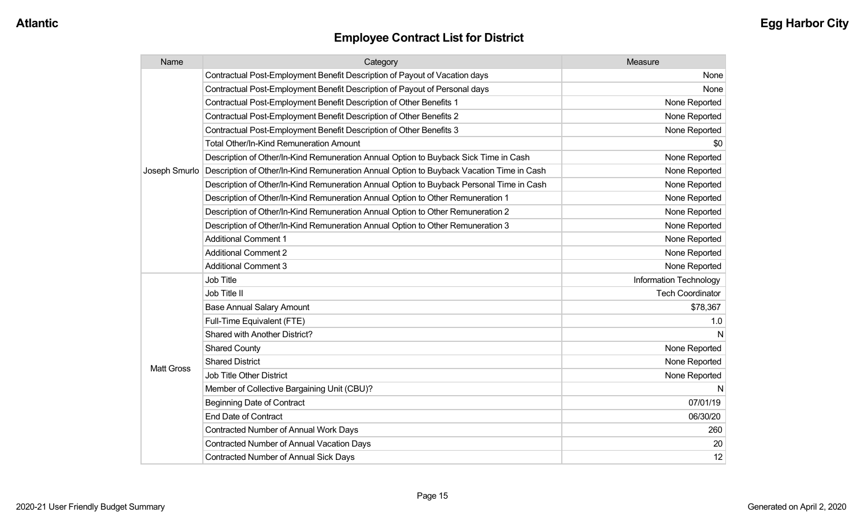| Name              | Category                                                                                 | Measure                 |
|-------------------|------------------------------------------------------------------------------------------|-------------------------|
|                   | Contractual Post-Employment Benefit Description of Payout of Vacation days               | None                    |
|                   | Contractual Post-Employment Benefit Description of Payout of Personal days               | None                    |
|                   | Contractual Post-Employment Benefit Description of Other Benefits 1                      | None Reported           |
|                   | Contractual Post-Employment Benefit Description of Other Benefits 2                      | None Reported           |
|                   | Contractual Post-Employment Benefit Description of Other Benefits 3                      | None Reported           |
|                   | <b>Total Other/In-Kind Remuneration Amount</b>                                           | \$0                     |
|                   | Description of Other/In-Kind Remuneration Annual Option to Buyback Sick Time in Cash     | None Reported           |
| Joseph Smurlo     | Description of Other/In-Kind Remuneration Annual Option to Buyback Vacation Time in Cash | None Reported           |
|                   | Description of Other/In-Kind Remuneration Annual Option to Buyback Personal Time in Cash | None Reported           |
|                   | Description of Other/In-Kind Remuneration Annual Option to Other Remuneration 1          | None Reported           |
|                   | Description of Other/In-Kind Remuneration Annual Option to Other Remuneration 2          | None Reported           |
|                   | Description of Other/In-Kind Remuneration Annual Option to Other Remuneration 3          | None Reported           |
|                   | <b>Additional Comment 1</b>                                                              | None Reported           |
|                   | <b>Additional Comment 2</b>                                                              | None Reported           |
|                   | <b>Additional Comment 3</b>                                                              | None Reported           |
|                   | <b>Job Title</b>                                                                         | Information Technology  |
|                   | Job Title II                                                                             | <b>Tech Coordinator</b> |
|                   | <b>Base Annual Salary Amount</b>                                                         | \$78,367                |
|                   | Full-Time Equivalent (FTE)                                                               | 1.0                     |
|                   | <b>Shared with Another District?</b>                                                     |                         |
|                   | <b>Shared County</b>                                                                     | None Reported           |
| <b>Matt Gross</b> | <b>Shared District</b>                                                                   | None Reported           |
|                   | <b>Job Title Other District</b>                                                          | None Reported           |
|                   | Member of Collective Bargaining Unit (CBU)?                                              | N                       |
|                   | <b>Beginning Date of Contract</b>                                                        | 07/01/19                |
|                   | <b>End Date of Contract</b>                                                              | 06/30/20                |
|                   | <b>Contracted Number of Annual Work Days</b>                                             | 260                     |
|                   | <b>Contracted Number of Annual Vacation Days</b>                                         | 20                      |
|                   | <b>Contracted Number of Annual Sick Days</b>                                             | 12                      |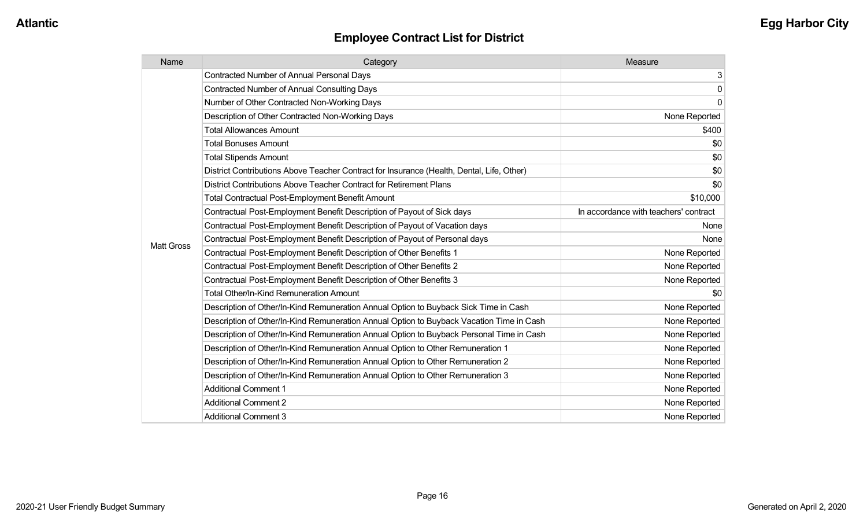| Name              | Category                                                                                  | Measure                               |
|-------------------|-------------------------------------------------------------------------------------------|---------------------------------------|
|                   | <b>Contracted Number of Annual Personal Days</b>                                          | 3                                     |
|                   | <b>Contracted Number of Annual Consulting Days</b>                                        | $\mathbf 0$                           |
|                   | Number of Other Contracted Non-Working Days                                               | 0                                     |
|                   | Description of Other Contracted Non-Working Days                                          | None Reported                         |
|                   | <b>Total Allowances Amount</b>                                                            | \$400                                 |
|                   | <b>Total Bonuses Amount</b>                                                               | \$0                                   |
|                   | <b>Total Stipends Amount</b>                                                              | \$0                                   |
|                   | District Contributions Above Teacher Contract for Insurance (Health, Dental, Life, Other) | \$0                                   |
|                   | District Contributions Above Teacher Contract for Retirement Plans                        | \$0                                   |
|                   | <b>Total Contractual Post-Employment Benefit Amount</b>                                   | \$10,000                              |
|                   | Contractual Post-Employment Benefit Description of Payout of Sick days                    | In accordance with teachers' contract |
|                   | Contractual Post-Employment Benefit Description of Payout of Vacation days                | None                                  |
| <b>Matt Gross</b> | Contractual Post-Employment Benefit Description of Payout of Personal days                | None                                  |
|                   | Contractual Post-Employment Benefit Description of Other Benefits 1                       | None Reported                         |
|                   | Contractual Post-Employment Benefit Description of Other Benefits 2                       | None Reported                         |
|                   | Contractual Post-Employment Benefit Description of Other Benefits 3                       | None Reported                         |
|                   | Total Other/In-Kind Remuneration Amount                                                   | \$0                                   |
|                   | Description of Other/In-Kind Remuneration Annual Option to Buyback Sick Time in Cash      | None Reported                         |
|                   | Description of Other/In-Kind Remuneration Annual Option to Buyback Vacation Time in Cash  | None Reported                         |
|                   | Description of Other/In-Kind Remuneration Annual Option to Buyback Personal Time in Cash  | None Reported                         |
|                   | Description of Other/In-Kind Remuneration Annual Option to Other Remuneration 1           | None Reported                         |
|                   | Description of Other/In-Kind Remuneration Annual Option to Other Remuneration 2           | None Reported                         |
|                   | Description of Other/In-Kind Remuneration Annual Option to Other Remuneration 3           | None Reported                         |
|                   | <b>Additional Comment 1</b>                                                               | None Reported                         |
|                   | <b>Additional Comment 2</b>                                                               | None Reported                         |
|                   | <b>Additional Comment 3</b>                                                               | None Reported                         |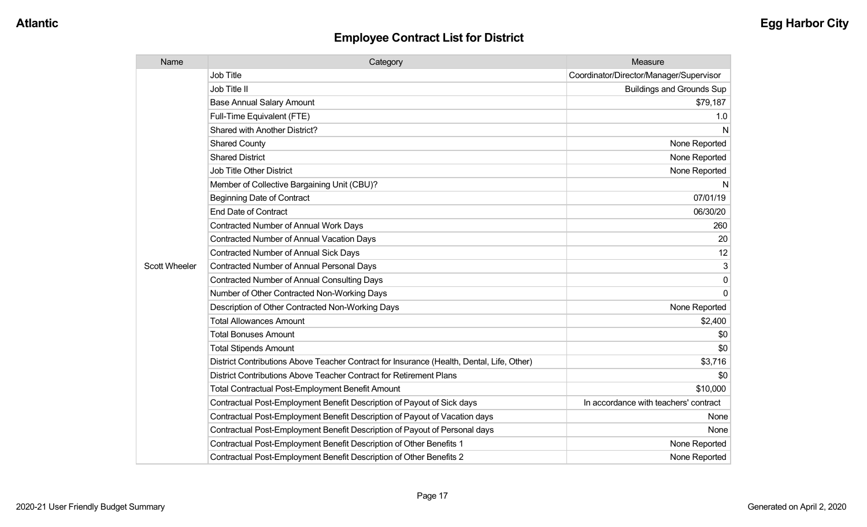| Name                 | Category                                                                                  | Measure                                 |
|----------------------|-------------------------------------------------------------------------------------------|-----------------------------------------|
|                      | <b>Job Title</b>                                                                          | Coordinator/Director/Manager/Supervisor |
|                      | Job Title II                                                                              | <b>Buildings and Grounds Sup</b>        |
|                      | <b>Base Annual Salary Amount</b>                                                          | \$79,187                                |
|                      | Full-Time Equivalent (FTE)                                                                | 1.0                                     |
|                      | Shared with Another District?                                                             | N                                       |
|                      | <b>Shared County</b>                                                                      | None Reported                           |
|                      | <b>Shared District</b>                                                                    | None Reported                           |
|                      | <b>Job Title Other District</b>                                                           | None Reported                           |
|                      | Member of Collective Bargaining Unit (CBU)?                                               | N                                       |
|                      | <b>Beginning Date of Contract</b>                                                         | 07/01/19                                |
|                      | <b>End Date of Contract</b>                                                               | 06/30/20                                |
|                      | <b>Contracted Number of Annual Work Days</b>                                              | 260                                     |
|                      | <b>Contracted Number of Annual Vacation Days</b>                                          | 20                                      |
|                      | <b>Contracted Number of Annual Sick Days</b>                                              | 12                                      |
| <b>Scott Wheeler</b> | <b>Contracted Number of Annual Personal Days</b>                                          | 3                                       |
|                      | Contracted Number of Annual Consulting Days                                               | $\Omega$                                |
|                      | Number of Other Contracted Non-Working Days                                               | $\Omega$                                |
|                      | Description of Other Contracted Non-Working Days                                          | None Reported                           |
|                      | <b>Total Allowances Amount</b>                                                            | \$2,400                                 |
|                      | <b>Total Bonuses Amount</b>                                                               | \$0                                     |
|                      | <b>Total Stipends Amount</b>                                                              | \$0                                     |
|                      | District Contributions Above Teacher Contract for Insurance (Health, Dental, Life, Other) | \$3,716                                 |
|                      | District Contributions Above Teacher Contract for Retirement Plans                        | \$0                                     |
|                      | <b>Total Contractual Post-Employment Benefit Amount</b>                                   | \$10,000                                |
|                      | Contractual Post-Employment Benefit Description of Payout of Sick days                    | In accordance with teachers' contract   |
|                      | Contractual Post-Employment Benefit Description of Payout of Vacation days                | None                                    |
|                      | Contractual Post-Employment Benefit Description of Payout of Personal days                | None                                    |
|                      | Contractual Post-Employment Benefit Description of Other Benefits 1                       | None Reported                           |
|                      | Contractual Post-Employment Benefit Description of Other Benefits 2                       | None Reported                           |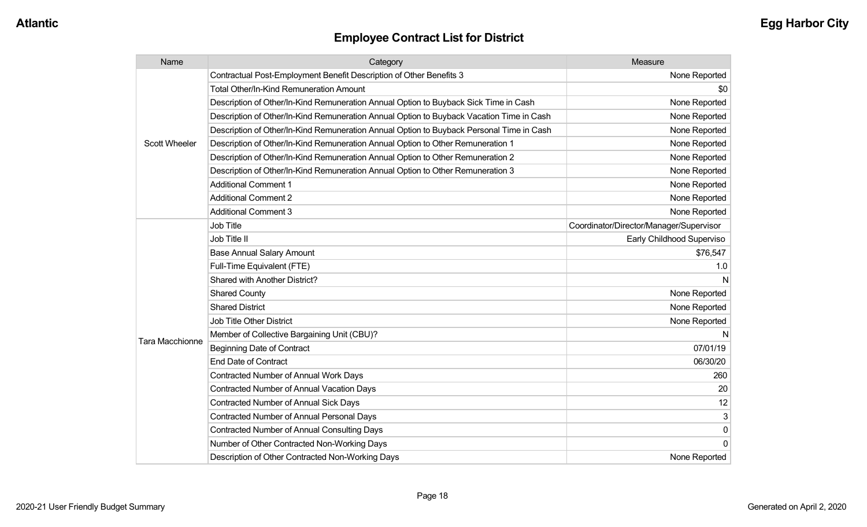| Name                   | Category                                                                                 | Measure                                 |
|------------------------|------------------------------------------------------------------------------------------|-----------------------------------------|
|                        | Contractual Post-Employment Benefit Description of Other Benefits 3                      | None Reported                           |
|                        | <b>Total Other/In-Kind Remuneration Amount</b>                                           | \$0                                     |
|                        | Description of Other/In-Kind Remuneration Annual Option to Buyback Sick Time in Cash     | None Reported                           |
|                        | Description of Other/In-Kind Remuneration Annual Option to Buyback Vacation Time in Cash | None Reported                           |
|                        | Description of Other/In-Kind Remuneration Annual Option to Buyback Personal Time in Cash | None Reported                           |
| <b>Scott Wheeler</b>   | Description of Other/In-Kind Remuneration Annual Option to Other Remuneration 1          | None Reported                           |
|                        | Description of Other/In-Kind Remuneration Annual Option to Other Remuneration 2          | None Reported                           |
|                        | Description of Other/In-Kind Remuneration Annual Option to Other Remuneration 3          | None Reported                           |
|                        | <b>Additional Comment 1</b>                                                              | None Reported                           |
|                        | <b>Additional Comment 2</b>                                                              | None Reported                           |
|                        | <b>Additional Comment 3</b>                                                              | None Reported                           |
|                        | Job Title                                                                                | Coordinator/Director/Manager/Supervisor |
|                        | Job Title II                                                                             | Early Childhood Superviso               |
|                        | <b>Base Annual Salary Amount</b>                                                         | \$76,547                                |
|                        | Full-Time Equivalent (FTE)                                                               | 1.0                                     |
|                        | Shared with Another District?                                                            | N                                       |
|                        | <b>Shared County</b>                                                                     | None Reported                           |
|                        | <b>Shared District</b>                                                                   | None Reported                           |
|                        | Job Title Other District                                                                 | None Reported                           |
|                        | Member of Collective Bargaining Unit (CBU)?                                              |                                         |
| <b>Tara Macchionne</b> | <b>Beginning Date of Contract</b>                                                        | 07/01/19                                |
|                        | <b>End Date of Contract</b>                                                              | 06/30/20                                |
|                        | <b>Contracted Number of Annual Work Days</b>                                             | 260                                     |
|                        | <b>Contracted Number of Annual Vacation Days</b>                                         | 20                                      |
|                        | <b>Contracted Number of Annual Sick Days</b>                                             | 12                                      |
|                        | Contracted Number of Annual Personal Days                                                | 3                                       |
|                        | <b>Contracted Number of Annual Consulting Days</b>                                       | 0                                       |
|                        | Number of Other Contracted Non-Working Days                                              | 0                                       |
|                        | Description of Other Contracted Non-Working Days                                         | None Reported                           |